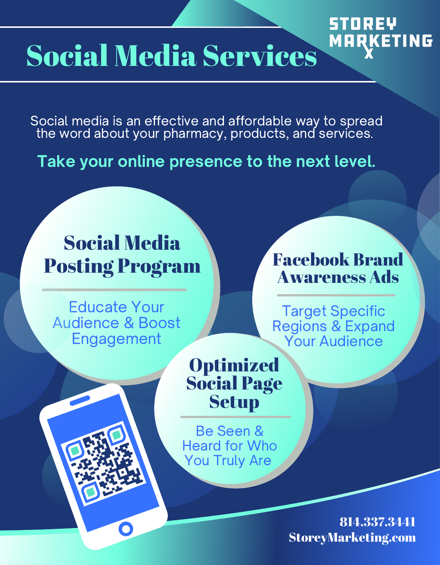# Social Media Services

Social media is an effective and affordable way to spread the word about your pharmacy, products, and services.

Take your online presence to the next level.

## Social Media Posting Program

Educate Your Audience & Boost Engagement

## Facebook Brand Awareness Ads

STOREY

**MARKETING** 

Target Specific Regions & Expand Your Audience

## **Optimized** Social Page Setup

Be Seen & Heard for Who Truly Are Heard for Who<br>Truly Are You Truly Are<br>CREETER!

> StoreyMarketing.com 814.337.3441